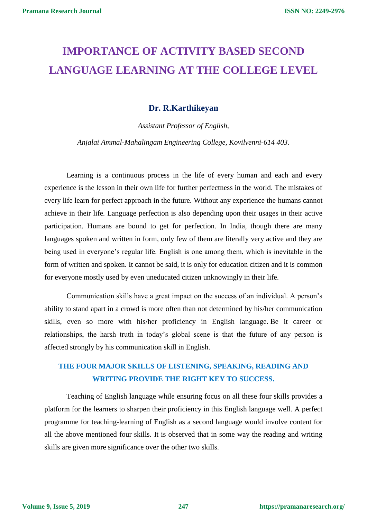## **IMPORTANCE OF ACTIVITY BASED SECOND LANGUAGE LEARNING AT THE COLLEGE LEVEL**

## **Dr. R.Karthikeyan**

*Assistant Professor of English,*

*Anjalai Ammal-Mahalingam Engineering College, Kovilvenni-614 403.*

Learning is a continuous process in the life of every human and each and every experience is the lesson in their own life for further perfectness in the world. The mistakes of every life learn for perfect approach in the future. Without any experience the humans cannot achieve in their life. Language perfection is also depending upon their usages in their active participation. Humans are bound to get for perfection. In India, though there are many languages spoken and written in form, only few of them are literally very active and they are being used in everyone's regular life. English is one among them, which is inevitable in the form of written and spoken. It cannot be said, it is only for education citizen and it is common for everyone mostly used by even uneducated citizen unknowingly in their life.

Communication skills have a great impact on the success of an individual. A person's ability to stand apart in a crowd is more often than not determined by his/her communication skills, even so more with his/her proficiency in English language. Be it career or relationships, the harsh truth in today's global scene is that the future of any person is affected strongly by his communication skill in English.

## **THE FOUR MAJOR SKILLS OF LISTENING, SPEAKING, READING AND WRITING PROVIDE THE RIGHT KEY TO SUCCESS.**

Teaching of English language while ensuring focus on all these four skills provides a platform for the learners to sharpen their proficiency in this English language well. A perfect programme for teaching-learning of English as a second language would involve content for all the above mentioned four skills. It is observed that in some way the reading and writing skills are given more significance over the other two skills.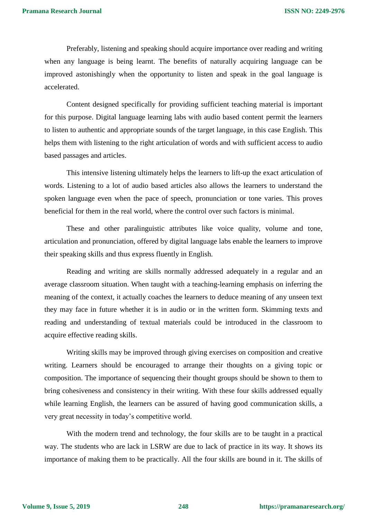Preferably, listening and speaking should acquire importance over reading and writing when any language is being learnt. The benefits of naturally acquiring language can be improved astonishingly when the opportunity to listen and speak in the goal language is accelerated.

Content designed specifically for providing sufficient teaching material is important for this purpose. Digital language learning labs with audio based content permit the learners to listen to authentic and appropriate sounds of the target language, in this case English. This helps them with listening to the right articulation of words and with sufficient access to audio based passages and articles.

This intensive listening ultimately helps the learners to lift-up the exact articulation of words. Listening to a lot of audio based articles also allows the learners to understand the spoken language even when the pace of speech, pronunciation or tone varies. This proves beneficial for them in the real world, where the control over such factors is minimal.

These and other paralinguistic attributes like voice quality, volume and tone, articulation and pronunciation, offered by digital language labs enable the learners to improve their speaking skills and thus express fluently in English.

Reading and writing are skills normally addressed adequately in a regular and an average classroom situation. When taught with a teaching-learning emphasis on inferring the meaning of the context, it actually coaches the learners to deduce meaning of any unseen text they may face in future whether it is in audio or in the written form. Skimming texts and reading and understanding of textual materials could be introduced in the classroom to acquire effective reading skills.

Writing skills may be improved through giving exercises on composition and creative writing. Learners should be encouraged to arrange their thoughts on a giving topic or composition. The importance of sequencing their thought groups should be shown to them to bring cohesiveness and consistency in their writing. With these four skills addressed equally while learning English, the learners can be assured of having good communication skills, a very great necessity in today's competitive world.

With the modern trend and technology, the four skills are to be taught in a practical way. The students who are lack in LSRW are due to lack of practice in its way. It shows its importance of making them to be practically. All the four skills are bound in it. The skills of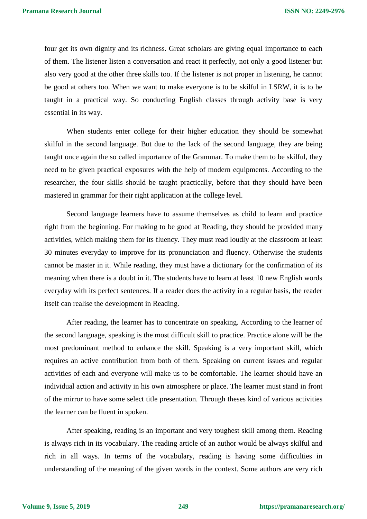four get its own dignity and its richness. Great scholars are giving equal importance to each of them. The listener listen a conversation and react it perfectly, not only a good listener but also very good at the other three skills too. If the listener is not proper in listening, he cannot be good at others too. When we want to make everyone is to be skilful in LSRW, it is to be taught in a practical way. So conducting English classes through activity base is very essential in its way.

When students enter college for their higher education they should be somewhat skilful in the second language. But due to the lack of the second language, they are being taught once again the so called importance of the Grammar. To make them to be skilful, they need to be given practical exposures with the help of modern equipments. According to the researcher, the four skills should be taught practically, before that they should have been mastered in grammar for their right application at the college level.

Second language learners have to assume themselves as child to learn and practice right from the beginning. For making to be good at Reading, they should be provided many activities, which making them for its fluency. They must read loudly at the classroom at least 30 minutes everyday to improve for its pronunciation and fluency. Otherwise the students cannot be master in it. While reading, they must have a dictionary for the confirmation of its meaning when there is a doubt in it. The students have to learn at least 10 new English words everyday with its perfect sentences. If a reader does the activity in a regular basis, the reader itself can realise the development in Reading.

After reading, the learner has to concentrate on speaking. According to the learner of the second language, speaking is the most difficult skill to practice. Practice alone will be the most predominant method to enhance the skill. Speaking is a very important skill, which requires an active contribution from both of them. Speaking on current issues and regular activities of each and everyone will make us to be comfortable. The learner should have an individual action and activity in his own atmosphere or place. The learner must stand in front of the mirror to have some select title presentation. Through theses kind of various activities the learner can be fluent in spoken.

After speaking, reading is an important and very toughest skill among them. Reading is always rich in its vocabulary. The reading article of an author would be always skilful and rich in all ways. In terms of the vocabulary, reading is having some difficulties in understanding of the meaning of the given words in the context. Some authors are very rich